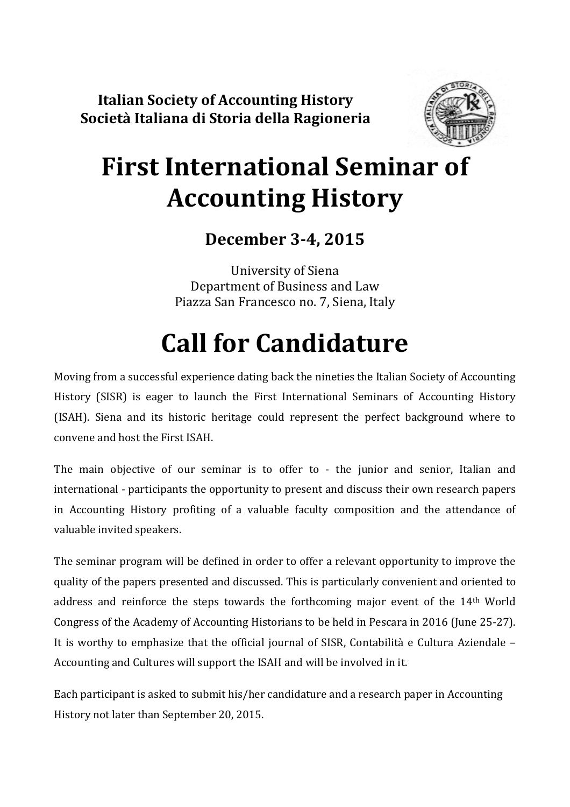Italian Society of Accounting History Società Italiana di Storia della Ragioneria



# First International Seminar of Accounting History

## December 3-4, 2015

University of Siena Department of Business and Law Piazza San Francesco no. 7, Siena, Italy

# Call for Candidature

Moving from a successful experience dating back the nineties the Italian Society of Accounting History (SISR) is eager to launch the First International Seminars of Accounting History (ISAH). Siena and its historic heritage could represent the perfect background where to convene and host the First ISAH.

The main objective of our seminar is to offer to - the junior and senior, Italian and international - participants the opportunity to present and discuss their own research papers in Accounting History profiting of a valuable faculty composition and the attendance of valuable invited speakers.

The seminar program will be defined in order to offer a relevant opportunity to improve the quality of the papers presented and discussed. This is particularly convenient and oriented to address and reinforce the steps towards the forthcoming major event of the 14th World Congress of the Academy of Accounting Historians to be held in Pescara in 2016 (June 25-27). It is worthy to emphasize that the official journal of SISR, Contabilità e Cultura Aziendale – Accounting and Cultures will support the ISAH and will be involved in it.

Each participant is asked to submit his/her candidature and a research paper in Accounting History not later than September 20, 2015.